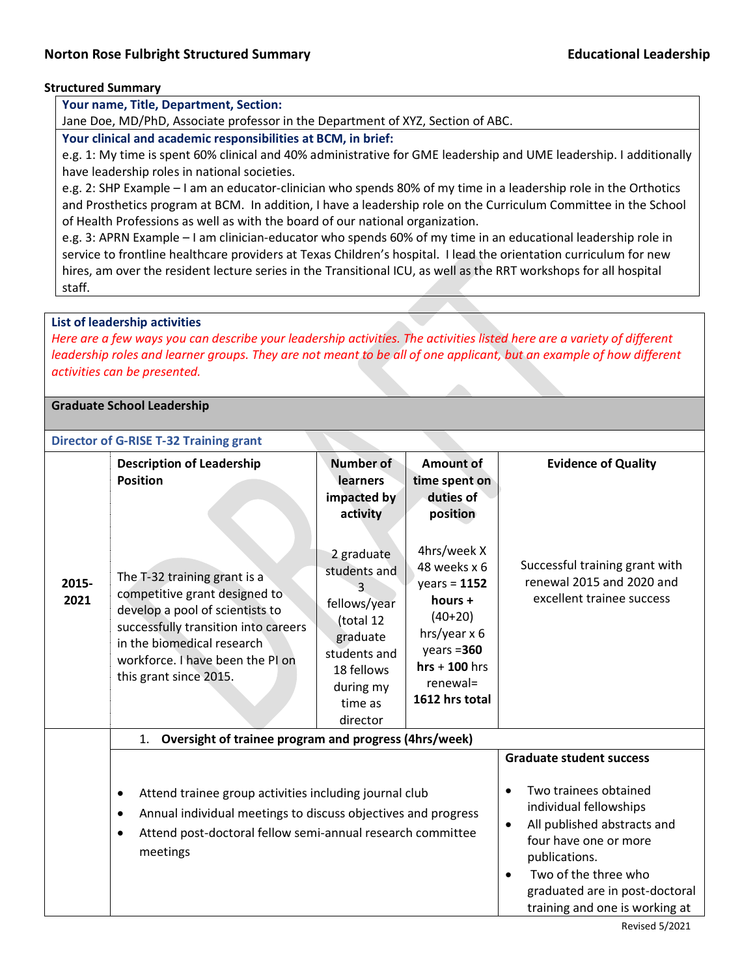## **Structured Summary**

**Your name, Title, Department, Section:**

Jane Doe, MD/PhD, Associate professor in the Department of XYZ, Section of ABC.

**Your clinical and academic responsibilities at BCM, in brief:** 

e.g. 1: My time is spent 60% clinical and 40% administrative for GME leadership and UME leadership. I additionally have leadership roles in national societies.

e.g. 2: SHP Example – I am an educator-clinician who spends 80% of my time in a leadership role in the Orthotics and Prosthetics program at BCM. In addition, I have a leadership role on the Curriculum Committee in the School of Health Professions as well as with the board of our national organization.

e.g. 3: APRN Example – I am clinician-educator who spends 60% of my time in an educational leadership role in service to frontline healthcare providers at Texas Children's hospital. I lead the orientation curriculum for new hires, am over the resident lecture series in the Transitional ICU, as well as the RRT workshops for all hospital staff.

## **List of leadership activities**

*Here are a few ways you can describe your leadership activities. The activities listed here are a variety of different leadership roles and learner groups. They are not meant to be all of one applicant, but an example of how different activities can be presented.*

## **Graduate School Leadership**

## **Director of G-RISE T-32 Training grant**

|               | <b>Description of Leadership</b><br><b>Position</b>                                                                                                                                                                                  | Number of<br>learners<br>impacted by<br>activity                                                                                      | <b>Amount of</b><br>time spent on<br>duties of<br>position                                                                                                                                                                                                  | <b>Evidence of Quality</b>                                                               |
|---------------|--------------------------------------------------------------------------------------------------------------------------------------------------------------------------------------------------------------------------------------|---------------------------------------------------------------------------------------------------------------------------------------|-------------------------------------------------------------------------------------------------------------------------------------------------------------------------------------------------------------------------------------------------------------|------------------------------------------------------------------------------------------|
| 2015-<br>2021 | The T-32 training grant is a<br>competitive grant designed to<br>develop a pool of scientists to<br>successfully transition into careers<br>in the biomedical research<br>workforce. I have been the PI on<br>this grant since 2015. | 2 graduate<br>students and<br>fellows/year<br>(total 12<br>graduate<br>students and<br>18 fellows<br>during my<br>time as<br>director | 4hrs/week X<br>48 weeks x 6<br>$years = 1152$<br>hours $+$<br>$(40+20)$<br>hrs/year x 6<br>$years = 360$<br>$hrs + 100$ hrs<br>renewal=<br>1612 hrs total                                                                                                   | Successful training grant with<br>renewal 2015 and 2020 and<br>excellent trainee success |
|               | Oversight of trainee program and progress (4hrs/week)<br>1.                                                                                                                                                                          |                                                                                                                                       |                                                                                                                                                                                                                                                             |                                                                                          |
|               |                                                                                                                                                                                                                                      |                                                                                                                                       |                                                                                                                                                                                                                                                             | <b>Graduate student success</b>                                                          |
|               | Attend trainee group activities including journal club<br>$\bullet$<br>Annual individual meetings to discuss objectives and progress<br>٠<br>Attend post-doctoral fellow semi-annual research committee<br>$\bullet$<br>meetings     |                                                                                                                                       | Two trainees obtained<br>$\bullet$<br>individual fellowships<br>All published abstracts and<br>$\bullet$<br>four have one or more<br>publications.<br>Two of the three who<br>$\bullet$<br>graduated are in post-doctoral<br>training and one is working at |                                                                                          |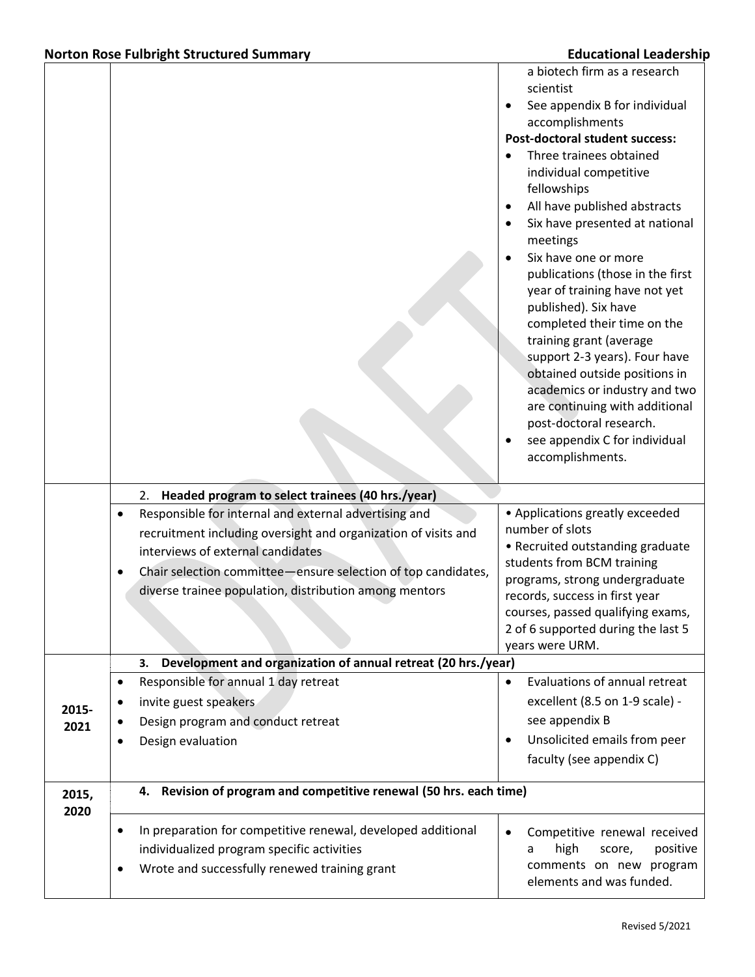|       |                                                                           | a biotech firm as a research                            |
|-------|---------------------------------------------------------------------------|---------------------------------------------------------|
|       |                                                                           | scientist<br>See appendix B for individual<br>$\bullet$ |
|       |                                                                           | accomplishments                                         |
|       |                                                                           | <b>Post-doctoral student success:</b>                   |
|       |                                                                           | Three trainees obtained                                 |
|       |                                                                           | individual competitive                                  |
|       |                                                                           | fellowships                                             |
|       |                                                                           | All have published abstracts<br>$\bullet$               |
|       |                                                                           | Six have presented at national<br>$\bullet$             |
|       |                                                                           | meetings                                                |
|       |                                                                           | Six have one or more<br>$\bullet$                       |
|       |                                                                           | publications (those in the first                        |
|       |                                                                           | year of training have not yet                           |
|       |                                                                           | published). Six have                                    |
|       |                                                                           | completed their time on the<br>training grant (average  |
|       |                                                                           | support 2-3 years). Four have                           |
|       |                                                                           | obtained outside positions in                           |
|       |                                                                           | academics or industry and two                           |
|       |                                                                           | are continuing with additional                          |
|       |                                                                           | post-doctoral research.                                 |
|       |                                                                           | see appendix C for individual<br>$\bullet$              |
|       |                                                                           | accomplishments.                                        |
|       |                                                                           |                                                         |
|       | 2. Headed program to select trainees (40 hrs./year)                       |                                                         |
|       | Responsible for internal and external advertising and<br>$\bullet$        | • Applications greatly exceeded                         |
|       | recruitment including oversight and organization of visits and            | number of slots<br>• Recruited outstanding graduate     |
|       | interviews of external candidates                                         | students from BCM training                              |
|       | Chair selection committee ensure selection of top candidates,<br>٠        | programs, strong undergraduate                          |
|       | diverse trainee population, distribution among mentors                    | records, success in first year                          |
|       |                                                                           | courses, passed qualifying exams,                       |
|       |                                                                           | 2 of 6 supported during the last 5                      |
|       |                                                                           | years were URM.                                         |
|       | Development and organization of annual retreat (20 hrs./year)<br>3.       |                                                         |
|       | Responsible for annual 1 day retreat<br>$\bullet$                         | Evaluations of annual retreat<br>$\bullet$              |
| 2015- | invite guest speakers<br>٠                                                | excellent (8.5 on 1-9 scale) -                          |
| 2021  | Design program and conduct retreat                                        | see appendix B                                          |
|       | Design evaluation<br>٠                                                    | Unsolicited emails from peer<br>٠                       |
|       |                                                                           | faculty (see appendix C)                                |
| 2015, | 4. Revision of program and competitive renewal (50 hrs. each time)        |                                                         |
| 2020  |                                                                           |                                                         |
|       | In preparation for competitive renewal, developed additional<br>$\bullet$ | Competitive renewal received<br>$\bullet$               |
|       | individualized program specific activities                                | high<br>positive<br>score,<br>a                         |
|       | Wrote and successfully renewed training grant<br>$\bullet$                | comments on new program                                 |
|       |                                                                           | elements and was funded.                                |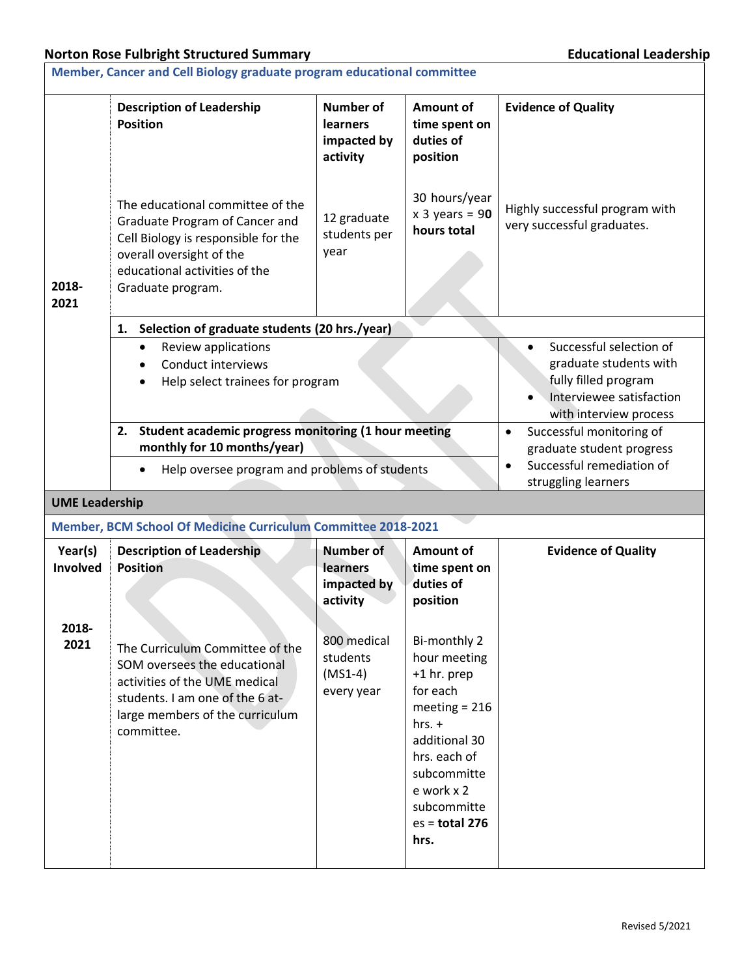|                            | Member, Cancer and Cell Biology graduate program educational committee                                                                                                                      |                                                                                                                                 |                                                                                                                                                                                                 |                                                              |  |  |  |
|----------------------------|---------------------------------------------------------------------------------------------------------------------------------------------------------------------------------------------|---------------------------------------------------------------------------------------------------------------------------------|-------------------------------------------------------------------------------------------------------------------------------------------------------------------------------------------------|--------------------------------------------------------------|--|--|--|
|                            | <b>Description of Leadership</b><br><b>Position</b>                                                                                                                                         | <b>Number of</b><br>learners<br>impacted by<br>activity                                                                         | Amount of<br>time spent on<br>duties of<br>position                                                                                                                                             | <b>Evidence of Quality</b>                                   |  |  |  |
| 2018-<br>2021              | The educational committee of the<br>Graduate Program of Cancer and<br>Cell Biology is responsible for the<br>overall oversight of the<br>educational activities of the<br>Graduate program. | 12 graduate<br>students per<br>year                                                                                             | 30 hours/year<br>$x$ 3 years = 90<br>hours total                                                                                                                                                | Highly successful program with<br>very successful graduates. |  |  |  |
|                            | Selection of graduate students (20 hrs./year)<br>1.                                                                                                                                         |                                                                                                                                 |                                                                                                                                                                                                 |                                                              |  |  |  |
|                            | Review applications<br>$\bullet$<br>Conduct interviews<br>Help select trainees for program                                                                                                  | Successful selection of<br>graduate students with<br>fully filled program<br>Interviewee satisfaction<br>with interview process |                                                                                                                                                                                                 |                                                              |  |  |  |
|                            | Student academic progress monitoring (1 hour meeting<br>2.                                                                                                                                  |                                                                                                                                 | Successful monitoring of<br>$\bullet$                                                                                                                                                           |                                                              |  |  |  |
|                            | monthly for 10 months/year)<br>Help oversee program and problems of students<br>$\bullet$                                                                                                   |                                                                                                                                 | graduate student progress<br>Successful remediation of<br>$\bullet$<br>struggling learners                                                                                                      |                                                              |  |  |  |
|                            | <b>UME Leadership</b>                                                                                                                                                                       |                                                                                                                                 |                                                                                                                                                                                                 |                                                              |  |  |  |
|                            | Member, BCM School Of Medicine Curriculum Committee 2018-2021                                                                                                                               |                                                                                                                                 |                                                                                                                                                                                                 |                                                              |  |  |  |
| Year(s)<br><b>Involved</b> | <b>Description of Leadership</b><br><b>Position</b>                                                                                                                                         | <b>Number of</b><br>learners<br>impacted by<br>activity                                                                         | Amount of<br>time spent on<br>duties of<br>position                                                                                                                                             | <b>Evidence of Quality</b>                                   |  |  |  |
| 2018-<br>2021              | The Curriculum Committee of the<br>SOM oversees the educational<br>activities of the UME medical<br>students. I am one of the 6 at-<br>large members of the curriculum<br>committee.        | 800 medical<br>students<br>$(MS1-4)$<br>every year                                                                              | Bi-monthly 2<br>hour meeting<br>+1 hr. prep<br>for each<br>meeting $= 216$<br>$hrs. +$<br>additional 30<br>hrs. each of<br>subcommitte<br>e work x 2<br>subcommitte<br>$es = total 276$<br>hrs. |                                                              |  |  |  |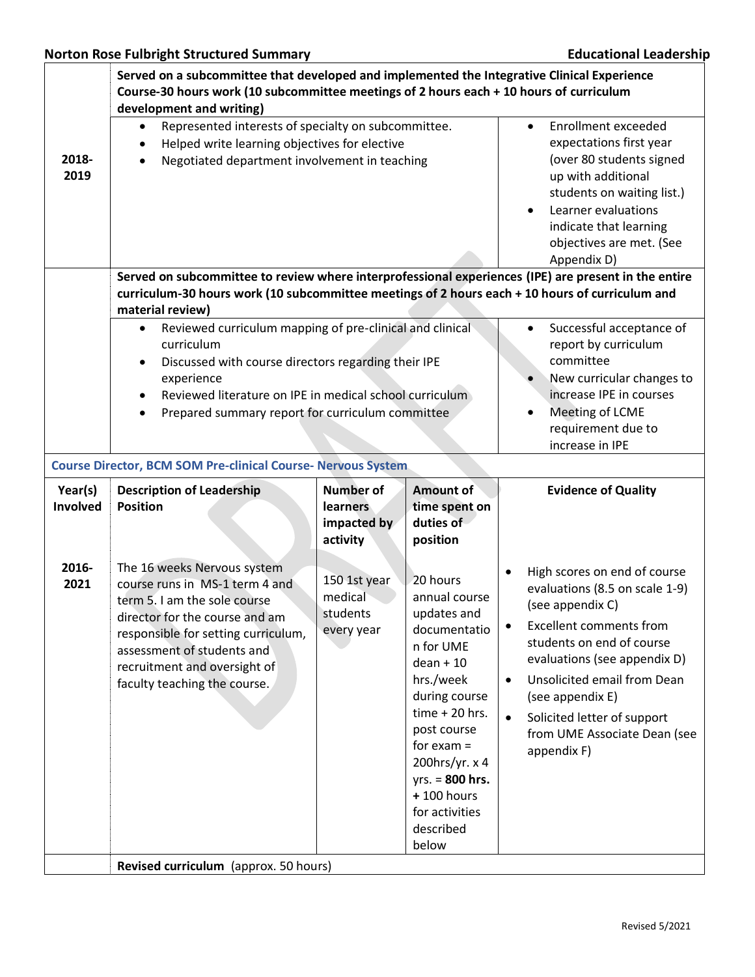|                     | Served on a subcommittee that developed and implemented the Integrative Clinical Experience<br>Course-30 hours work (10 subcommittee meetings of 2 hours each + 10 hours of curriculum<br>development and writing)                                                   |                                                                                                                                          |                                                                                                                                                                                                                                                                      |                                                                                                                                                                                                                                                                                                                                                                        |  |
|---------------------|----------------------------------------------------------------------------------------------------------------------------------------------------------------------------------------------------------------------------------------------------------------------|------------------------------------------------------------------------------------------------------------------------------------------|----------------------------------------------------------------------------------------------------------------------------------------------------------------------------------------------------------------------------------------------------------------------|------------------------------------------------------------------------------------------------------------------------------------------------------------------------------------------------------------------------------------------------------------------------------------------------------------------------------------------------------------------------|--|
| 2018-<br>2019       | Represented interests of specialty on subcommittee.<br>Helped write learning objectives for elective<br>Negotiated department involvement in teaching<br>Served on subcommittee to review where interprofessional experiences (IPE) are present in the entire        |                                                                                                                                          |                                                                                                                                                                                                                                                                      | Enrollment exceeded<br>$\bullet$<br>expectations first year<br>(over 80 students signed<br>up with additional<br>students on waiting list.)<br>Learner evaluations<br>indicate that learning<br>objectives are met. (See<br>Appendix D)                                                                                                                                |  |
|                     | material review)<br>Reviewed curriculum mapping of pre-clinical and clinical<br>$\bullet$<br>curriculum                                                                                                                                                              | curriculum-30 hours work (10 subcommittee meetings of 2 hours each + 10 hours of curriculum and<br>Successful acceptance of<br>$\bullet$ |                                                                                                                                                                                                                                                                      |                                                                                                                                                                                                                                                                                                                                                                        |  |
|                     | Discussed with course directors regarding their IPE<br>$\bullet$<br>experience<br>Reviewed literature on IPE in medical school curriculum<br>Prepared summary report for curriculum committee                                                                        |                                                                                                                                          |                                                                                                                                                                                                                                                                      | report by curriculum<br>committee<br>New curricular changes to<br>increase IPE in courses<br>Meeting of LCME<br>requirement due to<br>increase in IPE                                                                                                                                                                                                                  |  |
|                     | <b>Course Director, BCM SOM Pre-clinical Course- Nervous System</b>                                                                                                                                                                                                  |                                                                                                                                          |                                                                                                                                                                                                                                                                      |                                                                                                                                                                                                                                                                                                                                                                        |  |
| Year(s)<br>Involved | <b>Description of Leadership</b><br><b>Position</b>                                                                                                                                                                                                                  | <b>Number of</b><br><b>learners</b><br>impacted by<br>activity                                                                           | Amount of<br>time spent on<br>duties of<br>position                                                                                                                                                                                                                  | <b>Evidence of Quality</b>                                                                                                                                                                                                                                                                                                                                             |  |
| 2016-<br>2021       | The 16 weeks Nervous system<br>course runs in MS-1 term 4 and<br>term 5. I am the sole course<br>director for the course and am<br>responsible for setting curriculum,<br>assessment of students and<br>recruitment and oversight of<br>faculty teaching the course. | 150 1st year<br>medical<br>students<br>every year                                                                                        | 20 hours<br>annual course<br>updates and<br>documentatio<br>n for UME<br>$dean + 10$<br>hrs./week<br>during course<br>$time + 20$ hrs.<br>post course<br>for $exam =$<br>200hrs/yr. x 4<br>$yrs. = 800 hrs.$<br>$+100$ hours<br>for activities<br>described<br>below | High scores on end of course<br>$\bullet$<br>evaluations (8.5 on scale 1-9)<br>(see appendix C)<br><b>Excellent comments from</b><br>$\bullet$<br>students on end of course<br>evaluations (see appendix D)<br>Unsolicited email from Dean<br>$\bullet$<br>(see appendix E)<br>$\bullet$<br>Solicited letter of support<br>from UME Associate Dean (see<br>appendix F) |  |
|                     | Revised curriculum (approx. 50 hours)                                                                                                                                                                                                                                |                                                                                                                                          |                                                                                                                                                                                                                                                                      |                                                                                                                                                                                                                                                                                                                                                                        |  |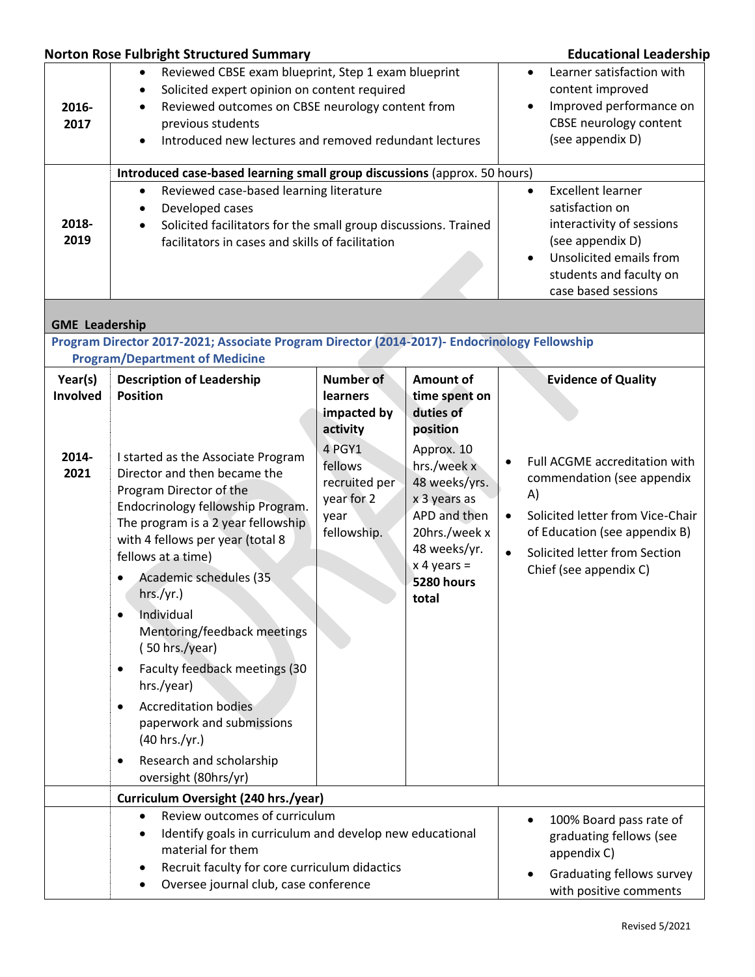## **Norton Rose Fulbright Structured Summary Educational Leadership**

| 2016-<br>2017<br>2018-<br>2019       | Reviewed CBSE exam blueprint, Step 1 exam blueprint<br>$\bullet$<br>Solicited expert opinion on content required<br>٠<br>Reviewed outcomes on CBSE neurology content from<br>$\bullet$<br>previous students<br>Introduced new lectures and removed redundant lectures<br>$\bullet$<br>Introduced case-based learning small group discussions (approx. 50 hours)<br>Reviewed case-based learning literature<br>$\bullet$<br>Developed cases<br>$\bullet$<br>Solicited facilitators for the small group discussions. Trained<br>$\bullet$<br>facilitators in cases and skills of facilitation                    | Learner satisfaction with<br>content improved<br>Improved performance on<br>CBSE neurology content<br>(see appendix D)<br><b>Excellent learner</b><br>$\bullet$<br>satisfaction on<br>interactivity of sessions<br>(see appendix D)<br>Unsolicited emails from<br>students and faculty on<br>case based sessions |                                                                                                                                                                                                                   |                                                                                                                                                                                                                                                                        |
|--------------------------------------|----------------------------------------------------------------------------------------------------------------------------------------------------------------------------------------------------------------------------------------------------------------------------------------------------------------------------------------------------------------------------------------------------------------------------------------------------------------------------------------------------------------------------------------------------------------------------------------------------------------|------------------------------------------------------------------------------------------------------------------------------------------------------------------------------------------------------------------------------------------------------------------------------------------------------------------|-------------------------------------------------------------------------------------------------------------------------------------------------------------------------------------------------------------------|------------------------------------------------------------------------------------------------------------------------------------------------------------------------------------------------------------------------------------------------------------------------|
| <b>GME Leadership</b>                |                                                                                                                                                                                                                                                                                                                                                                                                                                                                                                                                                                                                                |                                                                                                                                                                                                                                                                                                                  |                                                                                                                                                                                                                   |                                                                                                                                                                                                                                                                        |
|                                      | Program Director 2017-2021; Associate Program Director (2014-2017)- Endocrinology Fellowship                                                                                                                                                                                                                                                                                                                                                                                                                                                                                                                   |                                                                                                                                                                                                                                                                                                                  |                                                                                                                                                                                                                   |                                                                                                                                                                                                                                                                        |
|                                      | <b>Program/Department of Medicine</b>                                                                                                                                                                                                                                                                                                                                                                                                                                                                                                                                                                          |                                                                                                                                                                                                                                                                                                                  |                                                                                                                                                                                                                   |                                                                                                                                                                                                                                                                        |
| Year(s)<br>Involved<br>2014-<br>2021 | <b>Description of Leadership</b><br><b>Position</b><br>I started as the Associate Program<br>Director and then became the<br>Program Director of the<br>Endocrinology fellowship Program.<br>The program is a 2 year fellowship<br>with 4 fellows per year (total 8<br>fellows at a time)<br>Academic schedules (35<br>hrs./yr.)<br>Individual<br>Mentoring/feedback meetings<br>(50 hrs./year)<br>Faculty feedback meetings (30<br>٠<br>hrs./year)<br><b>Accreditation bodies</b><br>$\bullet$<br>paperwork and submissions<br>(40 hrs./yr.)<br>Research and scholarship<br>$\bullet$<br>oversight (80hrs/yr) | <b>Number of</b><br>learners<br>impacted by<br>activity<br>4 PGY1<br>fellows<br>recruited per<br>year for 2<br>year<br>fellowship.                                                                                                                                                                               | <b>Amount of</b><br>time spent on<br>duties of<br>position<br>Approx. 10<br>hrs./week x<br>48 weeks/yrs.<br>x 3 years as<br>APD and then<br>20hrs./week x<br>48 weeks/yr.<br>$x 4$ years =<br>5280 hours<br>total | <b>Evidence of Quality</b><br>Full ACGME accreditation with<br>$\bullet$<br>commendation (see appendix<br>A)<br>Solicited letter from Vice-Chair<br>$\bullet$<br>of Education (see appendix B)<br>Solicited letter from Section<br>$\bullet$<br>Chief (see appendix C) |
|                                      | Curriculum Oversight (240 hrs./year)<br>Review outcomes of curriculum<br>$\bullet$<br>Identify goals in curriculum and develop new educational<br>material for them<br>Recruit faculty for core curriculum didactics<br>٠<br>Oversee journal club, case conference<br>٠                                                                                                                                                                                                                                                                                                                                        |                                                                                                                                                                                                                                                                                                                  |                                                                                                                                                                                                                   | 100% Board pass rate of<br>graduating fellows (see<br>appendix C)<br>Graduating fellows survey<br>with positive comments                                                                                                                                               |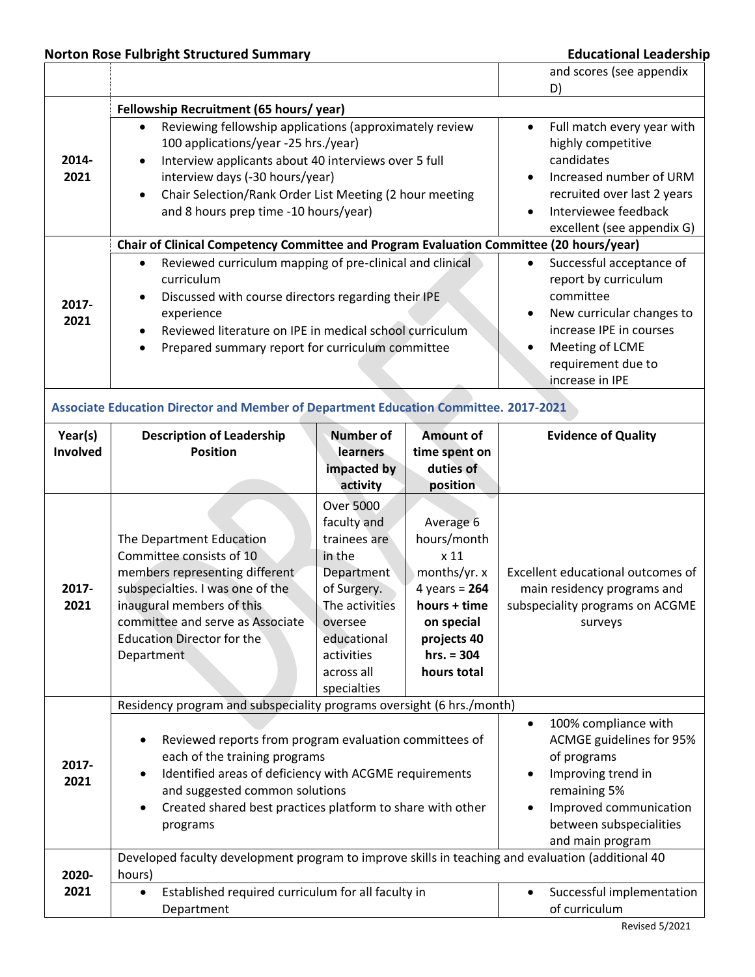# **Norton Rose Fulbright Structured Summary Educational Leadership**

|          |                                                                                                                       |                                             |                          | and scores (see appendix                                      |  |  |
|----------|-----------------------------------------------------------------------------------------------------------------------|---------------------------------------------|--------------------------|---------------------------------------------------------------|--|--|
|          | D)                                                                                                                    |                                             |                          |                                                               |  |  |
|          | Fellowship Recruitment (65 hours/year)<br>Reviewing fellowship applications (approximately review<br>$\bullet$        | Full match every year with<br>$\bullet$     |                          |                                                               |  |  |
|          | 100 applications/year -25 hrs./year)                                                                                  | highly competitive                          |                          |                                                               |  |  |
| 2014-    | Interview applicants about 40 interviews over 5 full                                                                  |                                             | candidates               |                                                               |  |  |
| 2021     | interview days (-30 hours/year)                                                                                       |                                             | Increased number of URM  |                                                               |  |  |
|          | Chair Selection/Rank Order List Meeting (2 hour meeting<br>$\bullet$                                                  |                                             |                          | recruited over last 2 years                                   |  |  |
|          | and 8 hours prep time -10 hours/year)                                                                                 | Interviewee feedback                        |                          |                                                               |  |  |
|          | excellent (see appendix G)<br>Chair of Clinical Competency Committee and Program Evaluation Committee (20 hours/year) |                                             |                          |                                                               |  |  |
|          |                                                                                                                       |                                             |                          |                                                               |  |  |
|          | Reviewed curriculum mapping of pre-clinical and clinical<br>$\bullet$<br>curriculum                                   |                                             |                          | Successful acceptance of<br>$\bullet$<br>report by curriculum |  |  |
|          | Discussed with course directors regarding their IPE                                                                   |                                             |                          | committee                                                     |  |  |
| 2017-    | experience                                                                                                            |                                             |                          | New curricular changes to                                     |  |  |
| 2021     | Reviewed literature on IPE in medical school curriculum                                                               |                                             |                          | increase IPE in courses                                       |  |  |
|          | Prepared summary report for curriculum committee<br>$\bullet$                                                         |                                             |                          | Meeting of LCME                                               |  |  |
|          |                                                                                                                       |                                             |                          | requirement due to                                            |  |  |
|          |                                                                                                                       |                                             |                          | increase in IPE                                               |  |  |
|          | Associate Education Director and Member of Department Education Committee. 2017-2021                                  |                                             |                          |                                                               |  |  |
| Year(s)  | <b>Number of</b><br><b>Amount of</b><br><b>Description of Leadership</b>                                              |                                             |                          | <b>Evidence of Quality</b>                                    |  |  |
| Involved | <b>Position</b>                                                                                                       | learners                                    | time spent on            |                                                               |  |  |
|          |                                                                                                                       | impacted by                                 | duties of                |                                                               |  |  |
|          |                                                                                                                       | activity                                    | position                 |                                                               |  |  |
|          |                                                                                                                       | Over 5000                                   |                          |                                                               |  |  |
|          | The Department Education                                                                                              | faculty and<br>trainees are                 | Average 6<br>hours/month |                                                               |  |  |
|          | Committee consists of 10                                                                                              | in the                                      | x 11                     |                                                               |  |  |
|          | members representing different                                                                                        | Department                                  | months/yr. x             | Excellent educational outcomes of                             |  |  |
| 2017-    | subspecialties. I was one of the                                                                                      | of Surgery.                                 | 4 years = $264$          | main residency programs and                                   |  |  |
| 2021     | inaugural members of this                                                                                             | The activities                              | hours + time             | subspeciality programs on ACGME                               |  |  |
|          | committee and serve as Associate                                                                                      | oversee                                     | on special               | surveys                                                       |  |  |
|          | <b>Education Director for the</b>                                                                                     | educational                                 | projects 40              |                                                               |  |  |
|          | Department                                                                                                            | activities                                  | $hrs. = 304$             |                                                               |  |  |
|          |                                                                                                                       | across all<br>specialties                   | hours total              |                                                               |  |  |
|          | Residency program and subspeciality programs oversight (6 hrs./month)                                                 |                                             |                          |                                                               |  |  |
|          |                                                                                                                       |                                             |                          | 100% compliance with<br>$\bullet$                             |  |  |
|          | Reviewed reports from program evaluation committees of<br>٠                                                           | ACMGE guidelines for 95%                    |                          |                                                               |  |  |
| 2017-    | each of the training programs                                                                                         | of programs                                 |                          |                                                               |  |  |
| 2021     | Identified areas of deficiency with ACGME requirements                                                                | Improving trend in                          |                          |                                                               |  |  |
|          | and suggested common solutions                                                                                        | remaining 5%                                |                          |                                                               |  |  |
|          | Created shared best practices platform to share with other                                                            | Improved communication                      |                          |                                                               |  |  |
|          | programs                                                                                                              | between subspecialities<br>and main program |                          |                                                               |  |  |
|          | Developed faculty development program to improve skills in teaching and evaluation (additional 40                     |                                             |                          |                                                               |  |  |
| 2020-    | hours)                                                                                                                |                                             |                          |                                                               |  |  |
| 2021     | Established required curriculum for all faculty in<br>$\bullet$                                                       |                                             |                          | Successful implementation                                     |  |  |
|          | Department                                                                                                            | of curriculum                               |                          |                                                               |  |  |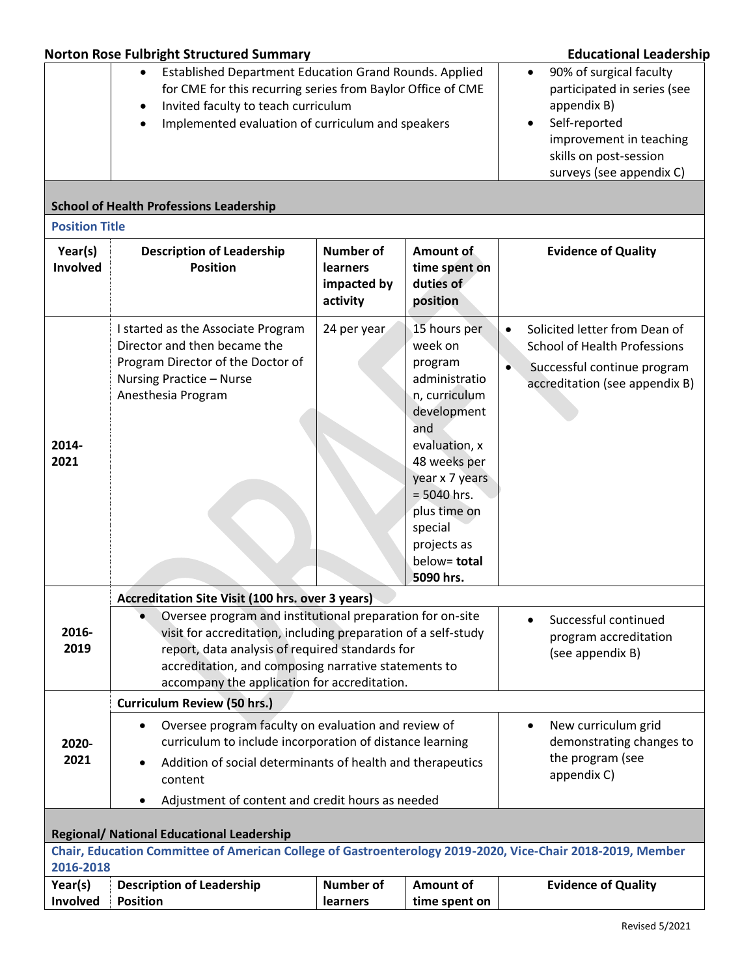|                                                       | <b>Norton Rose Fulbright Structured Summary</b>                                                                                                                                                                                                                                                                                                             | <b>Educational Leadership</b>                                                                                                                                                        |                                                                                                                                                                                                                                       |                                                                                                                                                    |  |  |  |
|-------------------------------------------------------|-------------------------------------------------------------------------------------------------------------------------------------------------------------------------------------------------------------------------------------------------------------------------------------------------------------------------------------------------------------|--------------------------------------------------------------------------------------------------------------------------------------------------------------------------------------|---------------------------------------------------------------------------------------------------------------------------------------------------------------------------------------------------------------------------------------|----------------------------------------------------------------------------------------------------------------------------------------------------|--|--|--|
|                                                       | Established Department Education Grand Rounds. Applied<br>$\bullet$<br>for CME for this recurring series from Baylor Office of CME<br>Invited faculty to teach curriculum<br>Implemented evaluation of curriculum and speakers<br><b>School of Health Professions Leadership</b>                                                                            | 90% of surgical faculty<br>$\bullet$<br>participated in series (see<br>appendix B)<br>Self-reported<br>improvement in teaching<br>skills on post-session<br>surveys (see appendix C) |                                                                                                                                                                                                                                       |                                                                                                                                                    |  |  |  |
| <b>Position Title</b>                                 |                                                                                                                                                                                                                                                                                                                                                             |                                                                                                                                                                                      |                                                                                                                                                                                                                                       |                                                                                                                                                    |  |  |  |
| Year(s)<br>Involved                                   | <b>Description of Leadership</b><br><b>Position</b>                                                                                                                                                                                                                                                                                                         | <b>Number of</b><br>learners<br>impacted by<br>activity                                                                                                                              | Amount of<br>time spent on<br>duties of<br>position                                                                                                                                                                                   | <b>Evidence of Quality</b>                                                                                                                         |  |  |  |
| 2014-<br>2021                                         | I started as the Associate Program<br>Director and then became the<br>Program Director of the Doctor of<br>Nursing Practice - Nurse<br>Anesthesia Program                                                                                                                                                                                                   | 24 per year                                                                                                                                                                          | 15 hours per<br>week on<br>program<br>administratio<br>n, curriculum<br>development<br>and<br>evaluation, x<br>48 weeks per<br>year x 7 years<br>$= 5040$ hrs.<br>plus time on<br>special<br>projects as<br>below= total<br>5090 hrs. | Solicited letter from Dean of<br>$\bullet$<br><b>School of Health Professions</b><br>Successful continue program<br>accreditation (see appendix B) |  |  |  |
|                                                       | Accreditation Site Visit (100 hrs. over 3 years)                                                                                                                                                                                                                                                                                                            |                                                                                                                                                                                      |                                                                                                                                                                                                                                       |                                                                                                                                                    |  |  |  |
| 2016-<br>2019                                         | Oversee program and institutional preparation for on-site<br>Successful continued<br>visit for accreditation, including preparation of a self-study<br>program accreditation<br>report, data analysis of required standards for<br>(see appendix B)<br>accreditation, and composing narrative statements to<br>accompany the application for accreditation. |                                                                                                                                                                                      |                                                                                                                                                                                                                                       |                                                                                                                                                    |  |  |  |
|                                                       | <b>Curriculum Review (50 hrs.)</b>                                                                                                                                                                                                                                                                                                                          |                                                                                                                                                                                      |                                                                                                                                                                                                                                       |                                                                                                                                                    |  |  |  |
| 2020-<br>2021                                         | Oversee program faculty on evaluation and review of<br>$\bullet$<br>curriculum to include incorporation of distance learning<br>Addition of social determinants of health and therapeutics<br>content                                                                                                                                                       | New curriculum grid<br>$\bullet$<br>demonstrating changes to<br>the program (see<br>appendix C)                                                                                      |                                                                                                                                                                                                                                       |                                                                                                                                                    |  |  |  |
| Adjustment of content and credit hours as needed<br>٠ |                                                                                                                                                                                                                                                                                                                                                             |                                                                                                                                                                                      |                                                                                                                                                                                                                                       |                                                                                                                                                    |  |  |  |
| <b>Regional/ National Educational Leadership</b>      |                                                                                                                                                                                                                                                                                                                                                             |                                                                                                                                                                                      |                                                                                                                                                                                                                                       |                                                                                                                                                    |  |  |  |
|                                                       | Chair, Education Committee of American College of Gastroenterology 2019-2020, Vice-Chair 2018-2019, Member                                                                                                                                                                                                                                                  |                                                                                                                                                                                      |                                                                                                                                                                                                                                       |                                                                                                                                                    |  |  |  |
| 2016-2018<br><b>Number of</b>                         |                                                                                                                                                                                                                                                                                                                                                             |                                                                                                                                                                                      |                                                                                                                                                                                                                                       |                                                                                                                                                    |  |  |  |
| Year(s)<br>Involved                                   | <b>Description of Leadership</b><br><b>Position</b>                                                                                                                                                                                                                                                                                                         | <b>Amount of</b><br>time spent on                                                                                                                                                    | <b>Evidence of Quality</b>                                                                                                                                                                                                            |                                                                                                                                                    |  |  |  |
|                                                       |                                                                                                                                                                                                                                                                                                                                                             |                                                                                                                                                                                      |                                                                                                                                                                                                                                       |                                                                                                                                                    |  |  |  |